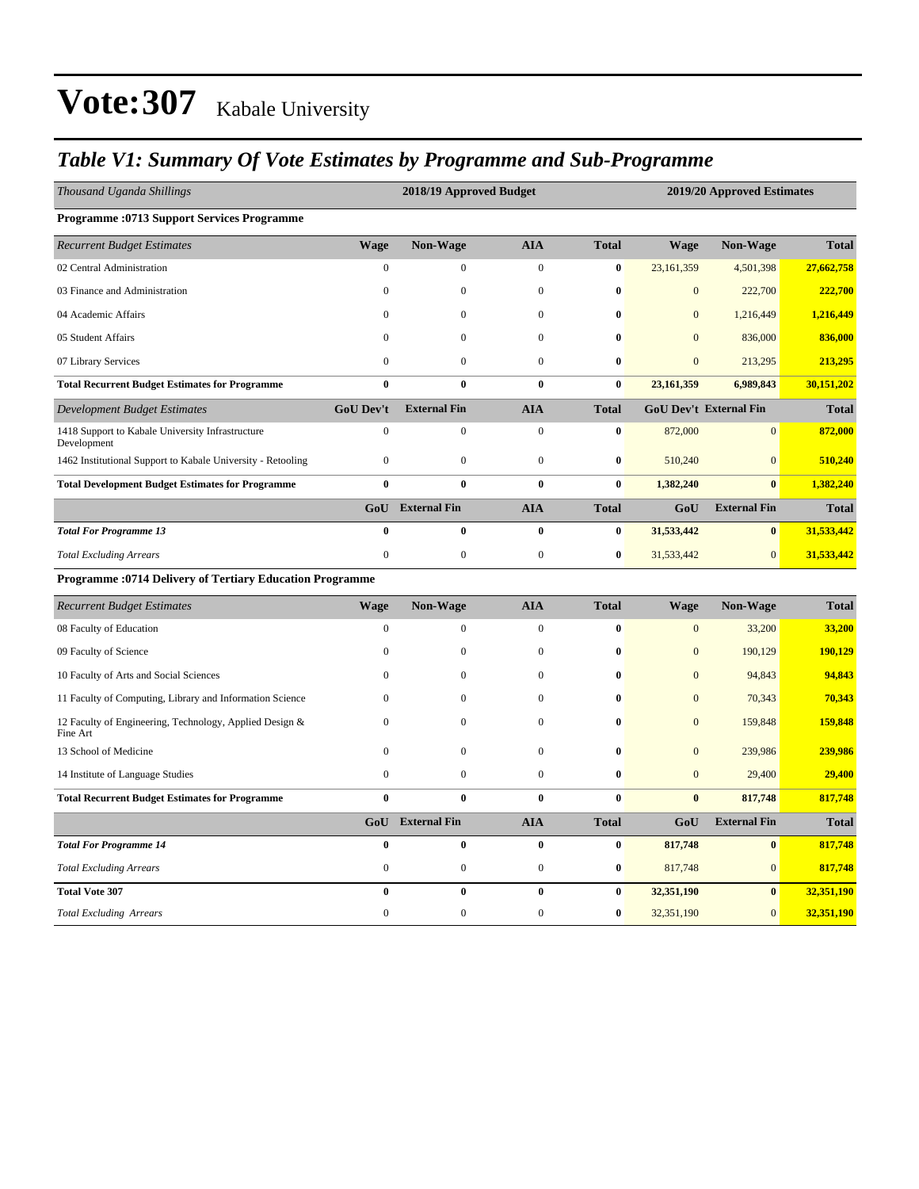### *Table V1: Summary Of Vote Estimates by Programme and Sub-Programme*

| Thousand Uganda Shillings                                           |                  | 2018/19 Approved Budget |                  |              | 2019/20 Approved Estimates |                        |              |  |  |
|---------------------------------------------------------------------|------------------|-------------------------|------------------|--------------|----------------------------|------------------------|--------------|--|--|
| <b>Programme: 0713 Support Services Programme</b>                   |                  |                         |                  |              |                            |                        |              |  |  |
| <b>Recurrent Budget Estimates</b>                                   | <b>Wage</b>      | Non-Wage                | <b>AIA</b>       | <b>Total</b> | <b>Wage</b>                | Non-Wage               | <b>Total</b> |  |  |
| 02 Central Administration                                           | $\mathbf{0}$     | 0                       | $\mathbf{0}$     | $\bf{0}$     | 23,161,359                 | 4,501,398              | 27,662,758   |  |  |
| 03 Finance and Administration                                       | $\overline{0}$   | $\mathbf{0}$            | $\mathbf{0}$     | $\bf{0}$     | $\overline{0}$             | 222,700                | 222,700      |  |  |
| 04 Academic Affairs                                                 | $\theta$         | $\mathbf{0}$            | $\boldsymbol{0}$ | $\bf{0}$     | $\mathbf{0}$               | 1,216,449              | 1,216,449    |  |  |
| 05 Student Affairs                                                  | $\theta$         | $\mathbf{0}$            | $\mathbf{0}$     | $\bf{0}$     | $\overline{0}$             | 836,000                | 836,000      |  |  |
| 07 Library Services                                                 | $\overline{0}$   | $\mathbf{0}$            | $\mathbf{0}$     | $\bf{0}$     | $\overline{0}$             | 213,295                | 213,295      |  |  |
| <b>Total Recurrent Budget Estimates for Programme</b>               | $\bf{0}$         | $\bf{0}$                | $\bf{0}$         | $\bf{0}$     | 23,161,359                 | 6,989,843              | 30,151,202   |  |  |
| <b>Development Budget Estimates</b>                                 | <b>GoU Dev't</b> | <b>External Fin</b>     | <b>AIA</b>       | <b>Total</b> |                            | GoU Dev't External Fin | <b>Total</b> |  |  |
| 1418 Support to Kabale University Infrastructure<br>Development     | $\boldsymbol{0}$ | $\boldsymbol{0}$        | $\boldsymbol{0}$ | $\bf{0}$     | 872,000                    | $\mathbf{0}$           | 872,000      |  |  |
| 1462 Institutional Support to Kabale University - Retooling         | $\mathbf{0}$     | $\mathbf{0}$            | $\boldsymbol{0}$ | $\bf{0}$     | 510,240                    | $\overline{0}$         | 510,240      |  |  |
| <b>Total Development Budget Estimates for Programme</b>             | $\bf{0}$         | $\bf{0}$                | $\bf{0}$         | $\bf{0}$     | 1,382,240                  | $\bf{0}$               | 1,382,240    |  |  |
|                                                                     | GoU              | <b>External Fin</b>     | <b>AIA</b>       | <b>Total</b> | GoU                        | <b>External Fin</b>    | <b>Total</b> |  |  |
| <b>Total For Programme 13</b>                                       | $\bf{0}$         | $\bf{0}$                | $\bf{0}$         | $\bf{0}$     | 31,533,442                 | $\bf{0}$               | 31,533,442   |  |  |
| <b>Total Excluding Arrears</b>                                      | $\boldsymbol{0}$ | $\boldsymbol{0}$        | $\boldsymbol{0}$ | $\bf{0}$     | 31,533,442                 | $\mathbf{0}$           | 31,533,442   |  |  |
| <b>Programme: 0714 Delivery of Tertiary Education Programme</b>     |                  |                         |                  |              |                            |                        |              |  |  |
| <b>Recurrent Budget Estimates</b>                                   | <b>Wage</b>      | Non-Wage                | <b>AIA</b>       | <b>Total</b> | <b>Wage</b>                | Non-Wage               | <b>Total</b> |  |  |
| 08 Faculty of Education                                             | $\overline{0}$   | $\boldsymbol{0}$        | $\boldsymbol{0}$ | $\bf{0}$     | $\mathbf{0}$               | 33,200                 | 33,200       |  |  |
| 09 Faculty of Science                                               | $\mathbf{0}$     | $\boldsymbol{0}$        | $\boldsymbol{0}$ | $\bf{0}$     | $\mathbf{0}$               | 190,129                | 190,129      |  |  |
| 10 Faculty of Arts and Social Sciences                              | $\mathbf{0}$     | $\boldsymbol{0}$        | $\boldsymbol{0}$ | $\bf{0}$     | $\mathbf{0}$               | 94,843                 | 94,843       |  |  |
| 11 Faculty of Computing, Library and Information Science            | $\mathbf{0}$     | $\boldsymbol{0}$        | $\boldsymbol{0}$ | $\bf{0}$     | $\overline{0}$             | 70,343                 | 70,343       |  |  |
| 12 Faculty of Engineering, Technology, Applied Design &<br>Fine Art | $\mathbf{0}$     | $\boldsymbol{0}$        | $\boldsymbol{0}$ | $\bf{0}$     | $\mathbf{0}$               | 159,848                | 159,848      |  |  |
| 13 School of Medicine                                               | $\overline{0}$   | $\boldsymbol{0}$        | $\boldsymbol{0}$ | $\bf{0}$     | $\mathbf{0}$               | 239,986                | 239,986      |  |  |
| 14 Institute of Language Studies                                    | $\boldsymbol{0}$ | $\boldsymbol{0}$        | $\boldsymbol{0}$ | $\bf{0}$     | $\mathbf{0}$               | 29,400                 | 29,400       |  |  |
| <b>Total Recurrent Budget Estimates for Programme</b>               | $\bf{0}$         | $\mathbf{0}$            | $\bf{0}$         | $\bf{0}$     | $\bf{0}$                   | 817,748                | 817,748      |  |  |
|                                                                     | GoU              | <b>External Fin</b>     | <b>AIA</b>       | <b>Total</b> | GoU                        | <b>External Fin</b>    | <b>Total</b> |  |  |
| <b>Total For Programme 14</b>                                       | $\mathbf{0}$     | $\bf{0}$                | $\bf{0}$         | $\bf{0}$     | 817,748                    | $\bf{0}$               | 817,748      |  |  |
| <b>Total Excluding Arrears</b>                                      | $\mathbf{0}$     | $\boldsymbol{0}$        | $\boldsymbol{0}$ | $\pmb{0}$    | 817,748                    | $\boldsymbol{0}$       | 817,748      |  |  |
| <b>Total Vote 307</b>                                               | $\bf{0}$         | $\bf{0}$                | $\bf{0}$         | $\pmb{0}$    | 32,351,190                 | $\bf{0}$               | 32,351,190   |  |  |
| <b>Total Excluding Arrears</b>                                      | $\mathbf{0}$     | $\mathbf{0}$            | $\mathbf{0}$     | $\bf{0}$     | 32,351,190                 | $\overline{0}$         | 32,351,190   |  |  |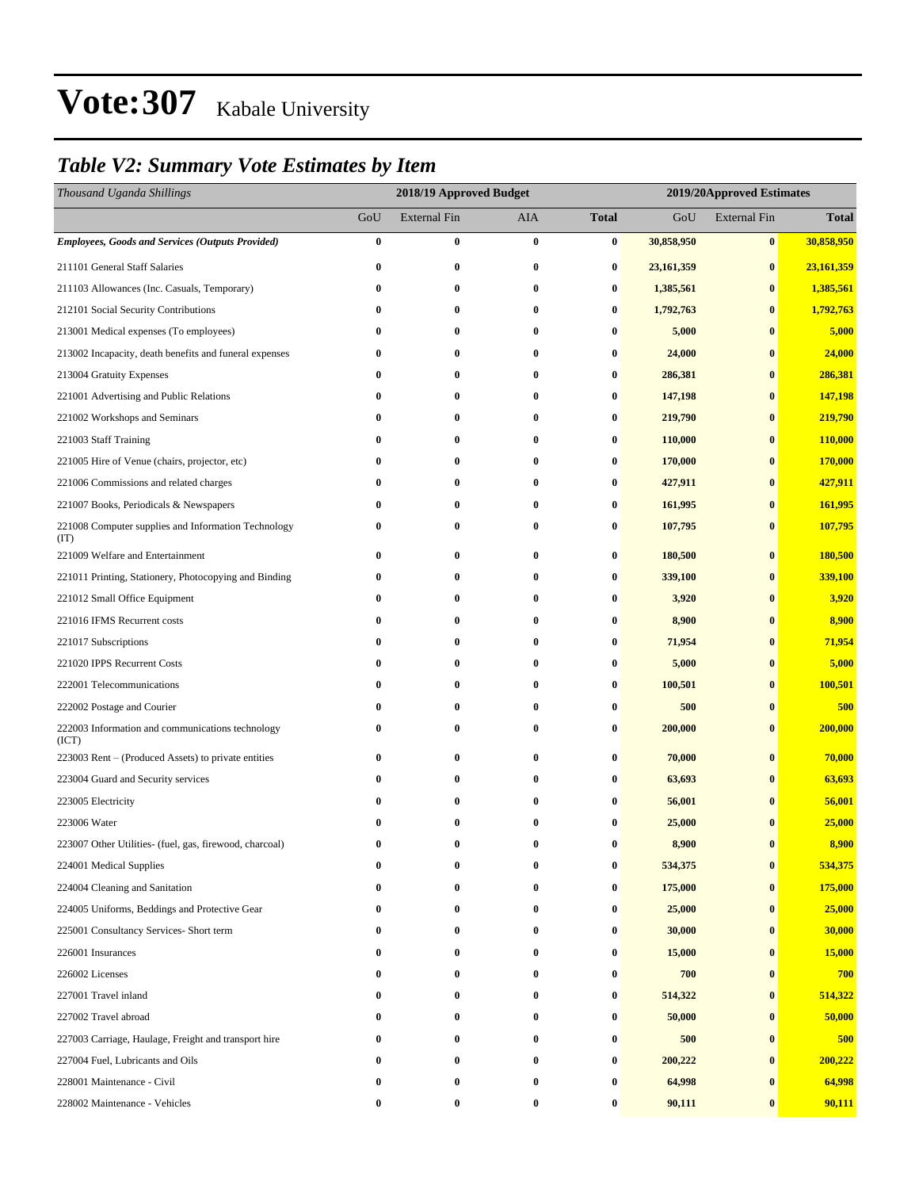### *Table V2: Summary Vote Estimates by Item*

| Thousand Uganda Shillings                                   |          | 2018/19 Approved Budget |            |              | 2019/20Approved Estimates |                     |              |  |  |
|-------------------------------------------------------------|----------|-------------------------|------------|--------------|---------------------------|---------------------|--------------|--|--|
|                                                             | GoU      | <b>External Fin</b>     | <b>AIA</b> | <b>Total</b> | GoU                       | <b>External Fin</b> | <b>Total</b> |  |  |
| <b>Employees, Goods and Services (Outputs Provided)</b>     | $\bf{0}$ | $\bf{0}$                | $\bf{0}$   | 0            | 30,858,950                | $\bf{0}$            | 30,858,950   |  |  |
| 211101 General Staff Salaries                               | $\bf{0}$ | $\bf{0}$                | $\bf{0}$   | $\bf{0}$     | 23,161,359                | $\bf{0}$            | 23,161,359   |  |  |
| 211103 Allowances (Inc. Casuals, Temporary)                 | 0        | 0                       | $\bf{0}$   | $\bf{0}$     | 1,385,561                 | $\bf{0}$            | 1,385,561    |  |  |
| 212101 Social Security Contributions                        | 0        | 0                       | 0          | 0            | 1,792,763                 | $\bf{0}$            | 1,792,763    |  |  |
| 213001 Medical expenses (To employees)                      | $\bf{0}$ | 0                       | 0          | 0            | 5,000                     | $\bf{0}$            | 5,000        |  |  |
| 213002 Incapacity, death benefits and funeral expenses      | $\bf{0}$ | 0                       | $\bf{0}$   | $\bf{0}$     | 24,000                    | $\bf{0}$            | 24,000       |  |  |
| 213004 Gratuity Expenses                                    | $\bf{0}$ | $\bf{0}$                | $\bf{0}$   | $\bf{0}$     | 286,381                   | $\bf{0}$            | 286,381      |  |  |
| 221001 Advertising and Public Relations                     | $\bf{0}$ | 0                       | $\bf{0}$   | $\bf{0}$     | 147,198                   | $\bf{0}$            | 147,198      |  |  |
| 221002 Workshops and Seminars                               | $\bf{0}$ | 0                       | 0          | 0            | 219,790                   | $\bf{0}$            | 219,790      |  |  |
| 221003 Staff Training                                       | $\bf{0}$ | 0                       | 0          | 0            | 110,000                   | $\bf{0}$            | 110,000      |  |  |
| 221005 Hire of Venue (chairs, projector, etc)               | $\bf{0}$ | 0                       | $\bf{0}$   | $\bf{0}$     | 170,000                   | $\bf{0}$            | 170,000      |  |  |
| 221006 Commissions and related charges                      | $\bf{0}$ | $\bf{0}$                | $\bf{0}$   | $\bf{0}$     | 427,911                   | $\bf{0}$            | 427,911      |  |  |
| 221007 Books, Periodicals & Newspapers                      | $\bf{0}$ | 0                       | 0          | $\bf{0}$     | 161,995                   | $\bf{0}$            | 161,995      |  |  |
| 221008 Computer supplies and Information Technology<br>(TT) | 0        | 0                       | 0          | 0            | 107,795                   | $\bf{0}$            | 107,795      |  |  |
| 221009 Welfare and Entertainment                            | $\bf{0}$ | $\bf{0}$                | $\bf{0}$   | $\bf{0}$     | 180,500                   | $\bf{0}$            | 180,500      |  |  |
| 221011 Printing, Stationery, Photocopying and Binding       | $\bf{0}$ | 0                       | $\bf{0}$   | $\bf{0}$     | 339,100                   | $\bf{0}$            | 339,100      |  |  |
| 221012 Small Office Equipment                               | $\bf{0}$ | 0                       | 0          | $\bf{0}$     | 3,920                     | $\bf{0}$            | 3,920        |  |  |
| 221016 IFMS Recurrent costs                                 | $\bf{0}$ | $\bf{0}$                | $\bf{0}$   | $\bf{0}$     | 8,900                     | $\bf{0}$            | 8,900        |  |  |
| 221017 Subscriptions                                        | $\bf{0}$ | 0                       | $\bf{0}$   | $\bf{0}$     | 71,954                    | $\bf{0}$            | 71,954       |  |  |
| 221020 IPPS Recurrent Costs                                 | 0        | 0                       | $\bf{0}$   | 0            | 5,000                     | $\bf{0}$            | 5,000        |  |  |
| 222001 Telecommunications                                   | $\bf{0}$ | 0                       | $\bf{0}$   | $\bf{0}$     | 100,501                   | $\bf{0}$            | 100,501      |  |  |
| 222002 Postage and Courier                                  | $\bf{0}$ | 0                       | 0          | 0            | 500                       | $\bf{0}$            | 500          |  |  |
| 222003 Information and communications technology<br>(ICT)   | 0        | $\bf{0}$                | $\bf{0}$   | $\bf{0}$     | 200,000                   | $\bf{0}$            | 200,000      |  |  |
| 223003 Rent – (Produced Assets) to private entities         | 0        | 0                       | $\bf{0}$   | $\bf{0}$     | 70,000                    | $\bf{0}$            | 70,000       |  |  |
| 223004 Guard and Security services                          | 0        | 0                       | $\bf{0}$   | $\bf{0}$     | 63,693                    | $\bf{0}$            | 63,693       |  |  |
| 223005 Electricity                                          | $\bf{0}$ | 0                       | 0          | $\bf{0}$     | 56,001                    | $\bf{0}$            | 56,001       |  |  |
| 223006 Water                                                | 0        | 0                       | 0          | 0            | 25,000                    | $\bf{0}$            | 25,000       |  |  |
| 223007 Other Utilities- (fuel, gas, firewood, charcoal)     | 0        | $\bf{0}$                | 0          | 0            | 8,900                     | $\mathbf{0}$        | 8,900        |  |  |
| 224001 Medical Supplies                                     | $\bf{0}$ | 0                       | $\bf{0}$   | $\bf{0}$     | 534,375                   | $\bf{0}$            | 534,375      |  |  |
| 224004 Cleaning and Sanitation                              | 0        | 0                       | $\bf{0}$   | $\bf{0}$     | 175,000                   | $\bf{0}$            | 175,000      |  |  |
| 224005 Uniforms, Beddings and Protective Gear               | 0        | 0                       | $\bf{0}$   | $\bf{0}$     | 25,000                    | $\bf{0}$            | 25,000       |  |  |
| 225001 Consultancy Services- Short term                     | 0        | 0                       | 0          | $\bf{0}$     | 30,000                    | $\bf{0}$            | 30,000       |  |  |
| 226001 Insurances                                           | 0        | $\bf{0}$                | $\bf{0}$   | $\bf{0}$     | 15,000                    | $\bf{0}$            | 15,000       |  |  |
| 226002 Licenses                                             | $\bf{0}$ | $\bf{0}$                | $\bf{0}$   | $\bf{0}$     | 700                       | $\bf{0}$            | 700          |  |  |
| 227001 Travel inland                                        | 0        | 0                       | $\bf{0}$   | $\bf{0}$     | 514,322                   | $\bf{0}$            | 514,322      |  |  |
| 227002 Travel abroad                                        | 0        | 0                       | $\bf{0}$   | $\bf{0}$     | 50,000                    | $\bf{0}$            | 50,000       |  |  |
| 227003 Carriage, Haulage, Freight and transport hire        | 0        | 0                       | $\bf{0}$   | 0            | 500                       | $\bf{0}$            | 500          |  |  |
| 227004 Fuel, Lubricants and Oils                            | 0        | 0                       | 0          | $\bf{0}$     | 200,222                   | $\bf{0}$            | 200,222      |  |  |
| 228001 Maintenance - Civil                                  | 0        | 0                       | $\bf{0}$   | $\bf{0}$     | 64,998                    | $\bf{0}$            | 64,998       |  |  |
| 228002 Maintenance - Vehicles                               | 0        | $\boldsymbol{0}$        | $\bf{0}$   | $\bf{0}$     | 90,111                    | $\bf{0}$            | 90,111       |  |  |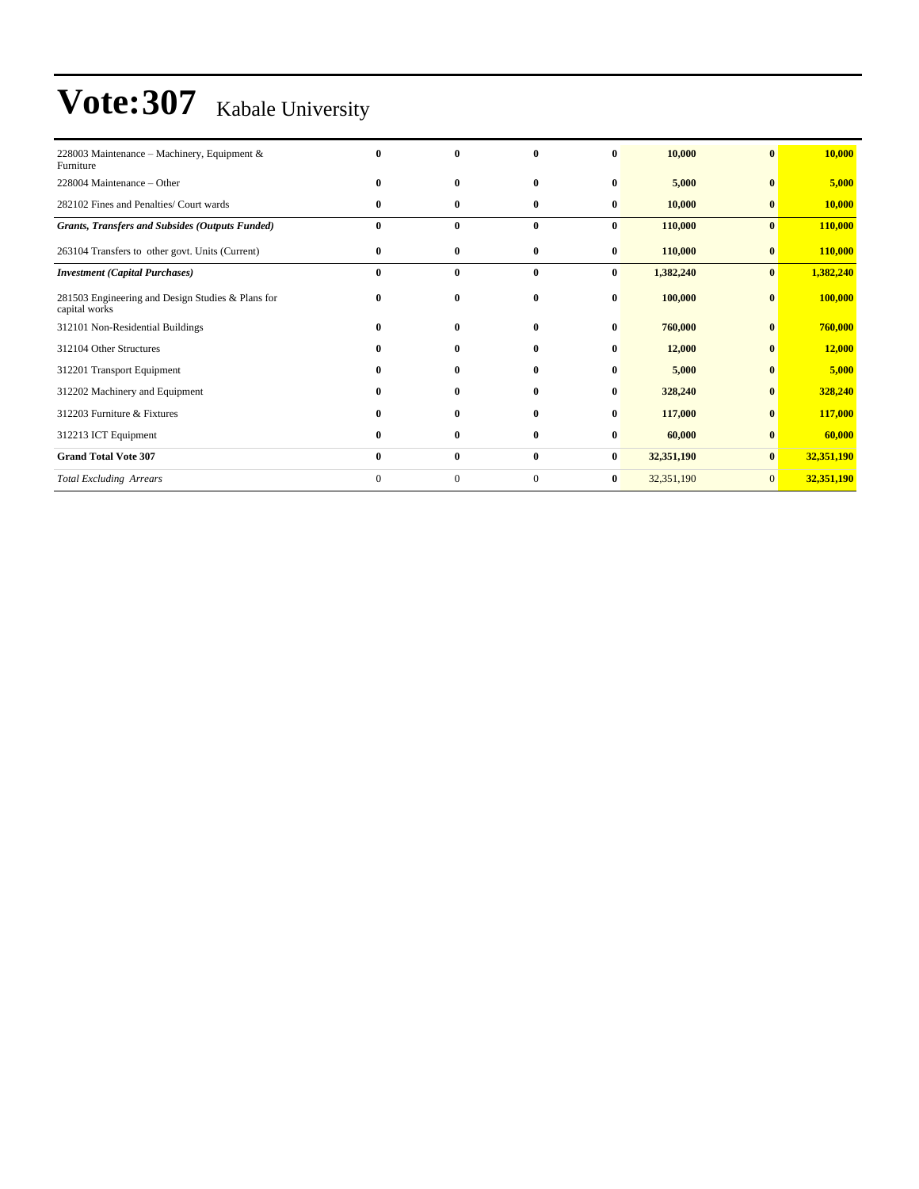| 228003 Maintenance – Machinery, Equipment &<br>Furniture           |              | $\bf{0}$     | $\mathbf{0}$ | 0        | 10,000     | $\mathbf{0}$ | 10,000     |
|--------------------------------------------------------------------|--------------|--------------|--------------|----------|------------|--------------|------------|
| 228004 Maintenance - Other                                         | 0            | $\bf{0}$     | $\mathbf{0}$ | 0        | 5,000      | $\mathbf{0}$ | 5,000      |
| 282102 Fines and Penalties/ Court wards                            | $\bf{0}$     | $\bf{0}$     | $\bf{0}$     | $\bf{0}$ | 10,000     | $\bf{0}$     | 10,000     |
| <b>Grants, Transfers and Subsides (Outputs Funded)</b>             | $\bf{0}$     | $\bf{0}$     | $\bf{0}$     | $\bf{0}$ | 110,000    | $\bf{0}$     | 110,000    |
| 263104 Transfers to other govt. Units (Current)                    | 0            | 0            | $\bf{0}$     | $\bf{0}$ | 110,000    | $\bf{0}$     | 110,000    |
| <b>Investment</b> (Capital Purchases)                              | $\bf{0}$     | $\bf{0}$     | $\bf{0}$     | $\bf{0}$ | 1,382,240  | $\bf{0}$     | 1,382,240  |
| 281503 Engineering and Design Studies & Plans for<br>capital works | 0            | $\bf{0}$     | $\bf{0}$     | $\bf{0}$ | 100,000    | $\bf{0}$     | 100,000    |
| 312101 Non-Residential Buildings                                   | 0            | $\bf{0}$     | $\bf{0}$     | $\bf{0}$ | 760,000    | $\bf{0}$     | 760,000    |
| 312104 Other Structures                                            | 0            | $\mathbf{0}$ | $\mathbf{0}$ | 0        | 12,000     | $\bf{0}$     | 12,000     |
| 312201 Transport Equipment                                         | 0            | $\mathbf{0}$ | $\mathbf{0}$ | $\bf{0}$ | 5,000      | $\mathbf{0}$ | 5,000      |
| 312202 Machinery and Equipment                                     |              | $\bf{0}$     | $\mathbf{0}$ | $\bf{0}$ | 328,240    | $\bf{0}$     | 328,240    |
| 312203 Furniture & Fixtures                                        |              | $\bf{0}$     | $\mathbf{0}$ | $\bf{0}$ | 117,000    | $\bf{0}$     | 117,000    |
| 312213 ICT Equipment                                               | 0            | $\bf{0}$     | $\bf{0}$     | $\bf{0}$ | 60,000     | $\bf{0}$     | 60,000     |
| <b>Grand Total Vote 307</b>                                        | $\bf{0}$     | $\bf{0}$     | $\bf{0}$     | $\bf{0}$ | 32,351,190 | $\bf{0}$     | 32,351,190 |
| <b>Total Excluding Arrears</b>                                     | $\mathbf{0}$ | $\mathbf{0}$ | $\mathbf{0}$ | $\bf{0}$ | 32,351,190 | $\mathbf{0}$ | 32,351,190 |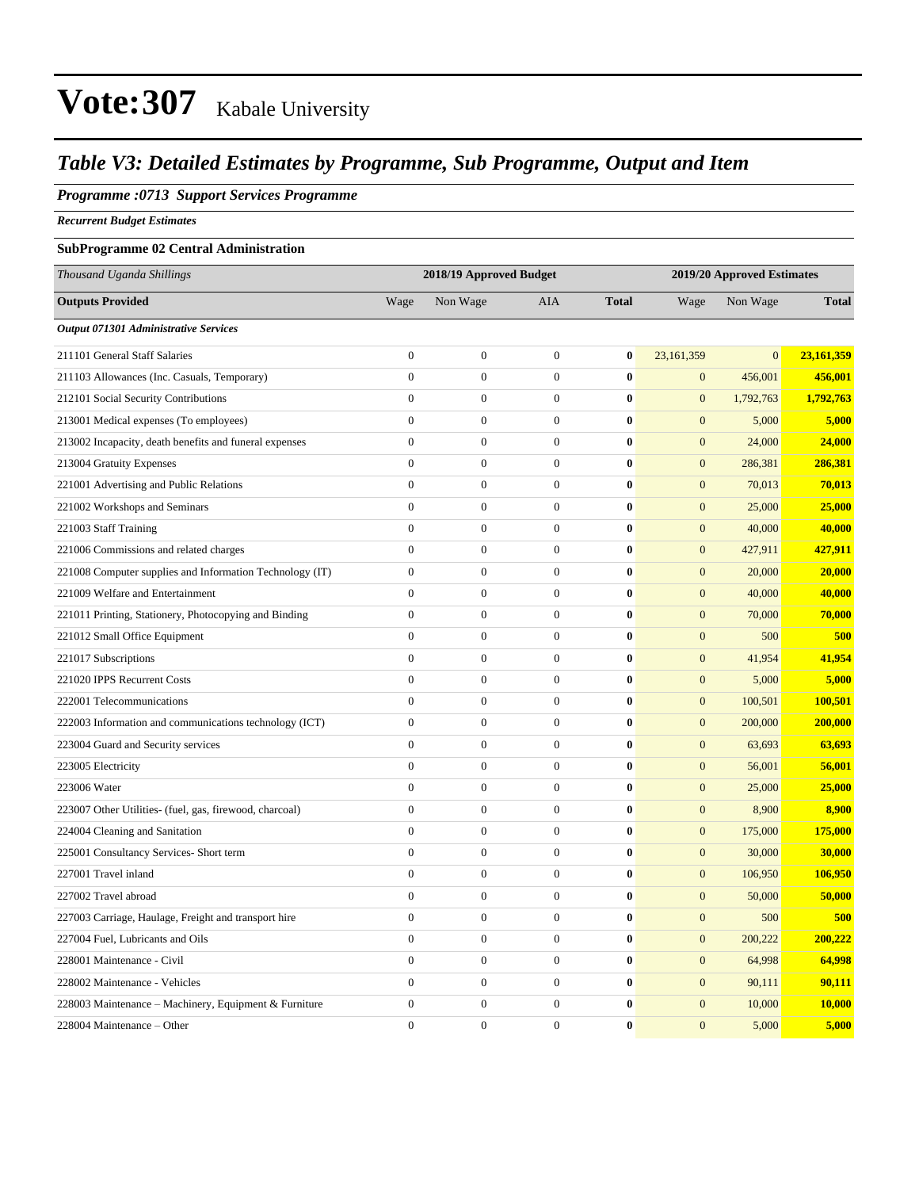### *Table V3: Detailed Estimates by Programme, Sub Programme, Output and Item*

#### *Programme :0713 Support Services Programme*

*Recurrent Budget Estimates*

### **SubProgramme 02 Central Administration**

| Thousand Uganda Shillings                                |                  | 2018/19 Approved Budget |                  |              | 2019/20 Approved Estimates |                |              |  |
|----------------------------------------------------------|------------------|-------------------------|------------------|--------------|----------------------------|----------------|--------------|--|
| <b>Outputs Provided</b>                                  | Wage             | Non Wage                | <b>AIA</b>       | <b>Total</b> | Wage                       | Non Wage       | <b>Total</b> |  |
| Output 071301 Administrative Services                    |                  |                         |                  |              |                            |                |              |  |
| 211101 General Staff Salaries                            | $\overline{0}$   | $\boldsymbol{0}$        | $\boldsymbol{0}$ | $\bf{0}$     | 23,161,359                 | $\overline{0}$ | 23,161,359   |  |
| 211103 Allowances (Inc. Casuals, Temporary)              | $\overline{0}$   | $\boldsymbol{0}$        | $\boldsymbol{0}$ | $\bf{0}$     | $\mathbf{0}$               | 456,001        | 456,001      |  |
| 212101 Social Security Contributions                     | $\overline{0}$   | $\boldsymbol{0}$        | $\boldsymbol{0}$ | $\bf{0}$     | $\mathbf{0}$               | 1,792,763      | 1,792,763    |  |
| 213001 Medical expenses (To employees)                   | $\boldsymbol{0}$ | $\boldsymbol{0}$        | $\boldsymbol{0}$ | $\bf{0}$     | $\mathbf{0}$               | 5,000          | 5,000        |  |
| 213002 Incapacity, death benefits and funeral expenses   | $\boldsymbol{0}$ | $\boldsymbol{0}$        | $\boldsymbol{0}$ | $\bf{0}$     | $\mathbf{0}$               | 24,000         | 24,000       |  |
| 213004 Gratuity Expenses                                 | $\overline{0}$   | $\boldsymbol{0}$        | $\boldsymbol{0}$ | $\bf{0}$     | $\mathbf{0}$               | 286,381        | 286,381      |  |
| 221001 Advertising and Public Relations                  | $\overline{0}$   | $\boldsymbol{0}$        | $\boldsymbol{0}$ | $\bf{0}$     | $\boldsymbol{0}$           | 70,013         | 70,013       |  |
| 221002 Workshops and Seminars                            | $\mathbf{0}$     | $\boldsymbol{0}$        | $\boldsymbol{0}$ | $\bf{0}$     | $\boldsymbol{0}$           | 25,000         | 25,000       |  |
| 221003 Staff Training                                    | $\mathbf{0}$     | $\boldsymbol{0}$        | $\boldsymbol{0}$ | $\bf{0}$     | $\mathbf{0}$               | 40,000         | 40,000       |  |
| 221006 Commissions and related charges                   | $\boldsymbol{0}$ | $\boldsymbol{0}$        | $\boldsymbol{0}$ | $\bf{0}$     | $\boldsymbol{0}$           | 427,911        | 427,911      |  |
| 221008 Computer supplies and Information Technology (IT) | $\boldsymbol{0}$ | $\boldsymbol{0}$        | $\boldsymbol{0}$ | $\bf{0}$     | $\mathbf{0}$               | 20,000         | 20,000       |  |
| 221009 Welfare and Entertainment                         | $\boldsymbol{0}$ | $\boldsymbol{0}$        | $\boldsymbol{0}$ | $\bf{0}$     | $\mathbf{0}$               | 40,000         | 40,000       |  |
| 221011 Printing, Stationery, Photocopying and Binding    | $\boldsymbol{0}$ | $\boldsymbol{0}$        | $\boldsymbol{0}$ | $\bf{0}$     | $\boldsymbol{0}$           | 70,000         | 70,000       |  |
| 221012 Small Office Equipment                            | $\mathbf{0}$     | $\boldsymbol{0}$        | $\mathbf{0}$     | $\bf{0}$     | $\overline{0}$             | 500            | 500          |  |
| 221017 Subscriptions                                     | $\boldsymbol{0}$ | $\boldsymbol{0}$        | $\boldsymbol{0}$ | $\bf{0}$     | $\boldsymbol{0}$           | 41,954         | 41,954       |  |
| 221020 IPPS Recurrent Costs                              | $\mathbf{0}$     | $\boldsymbol{0}$        | $\boldsymbol{0}$ | $\bf{0}$     | $\boldsymbol{0}$           | 5,000          | 5,000        |  |
| 222001 Telecommunications                                | $\overline{0}$   | $\overline{0}$          | $\mathbf{0}$     | $\bf{0}$     | $\boldsymbol{0}$           | 100,501        | 100,501      |  |
| 222003 Information and communications technology (ICT)   | $\overline{0}$   | $\overline{0}$          | $\mathbf{0}$     | $\bf{0}$     | $\mathbf{0}$               | 200,000        | 200,000      |  |
| 223004 Guard and Security services                       | $\mathbf{0}$     | $\boldsymbol{0}$        | $\mathbf{0}$     | $\bf{0}$     | $\mathbf{0}$               | 63,693         | 63,693       |  |
| 223005 Electricity                                       | $\overline{0}$   | $\boldsymbol{0}$        | $\mathbf{0}$     | $\bf{0}$     | $\mathbf{0}$               | 56,001         | 56,001       |  |
| 223006 Water                                             | $\overline{0}$   | $\boldsymbol{0}$        | $\boldsymbol{0}$ | $\bf{0}$     | $\mathbf{0}$               | 25,000         | 25,000       |  |
| 223007 Other Utilities- (fuel, gas, firewood, charcoal)  | $\overline{0}$   | $\boldsymbol{0}$        | $\mathbf{0}$     | $\bf{0}$     | $\mathbf{0}$               | 8,900          | 8,900        |  |
| 224004 Cleaning and Sanitation                           | $\overline{0}$   | $\overline{0}$          | $\mathbf{0}$     | $\bf{0}$     | $\mathbf{0}$               | 175,000        | 175,000      |  |
| 225001 Consultancy Services- Short term                  | $\overline{0}$   | $\overline{0}$          | $\boldsymbol{0}$ | $\bf{0}$     | $\mathbf{0}$               | 30,000         | 30,000       |  |
| 227001 Travel inland                                     | $\overline{0}$   | $\boldsymbol{0}$        | $\boldsymbol{0}$ | $\bf{0}$     | $\mathbf{0}$               | 106,950        | 106,950      |  |
| 227002 Travel abroad                                     | $\overline{0}$   | $\boldsymbol{0}$        | $\boldsymbol{0}$ | $\bf{0}$     | $\mathbf{0}$               | 50,000         | 50,000       |  |
| 227003 Carriage, Haulage, Freight and transport hire     | $\boldsymbol{0}$ | $\boldsymbol{0}$        | $\boldsymbol{0}$ | $\bf{0}$     | $\mathbf{0}$               | 500            | 500          |  |
| 227004 Fuel, Lubricants and Oils                         | $\overline{0}$   | $\boldsymbol{0}$        | $\boldsymbol{0}$ | $\bf{0}$     | $\mathbf{0}$               | 200,222        | 200,222      |  |
| 228001 Maintenance - Civil                               | $\overline{0}$   | $\boldsymbol{0}$        | $\boldsymbol{0}$ | $\bf{0}$     | $\mathbf{0}$               | 64,998         | 64,998       |  |
| 228002 Maintenance - Vehicles                            | $\overline{0}$   | $\boldsymbol{0}$        | $\boldsymbol{0}$ | $\bf{0}$     | $\mathbf{0}$               | 90,111         | 90,111       |  |
| 228003 Maintenance - Machinery, Equipment & Furniture    | $\mathbf{0}$     | $\boldsymbol{0}$        | $\boldsymbol{0}$ | $\bf{0}$     | $\mathbf{0}$               | 10,000         | 10,000       |  |
| 228004 Maintenance - Other                               | $\Omega$         | $\Omega$                | $\Omega$         | $\bf{0}$     | $\overline{0}$             | 5,000          | 5,000        |  |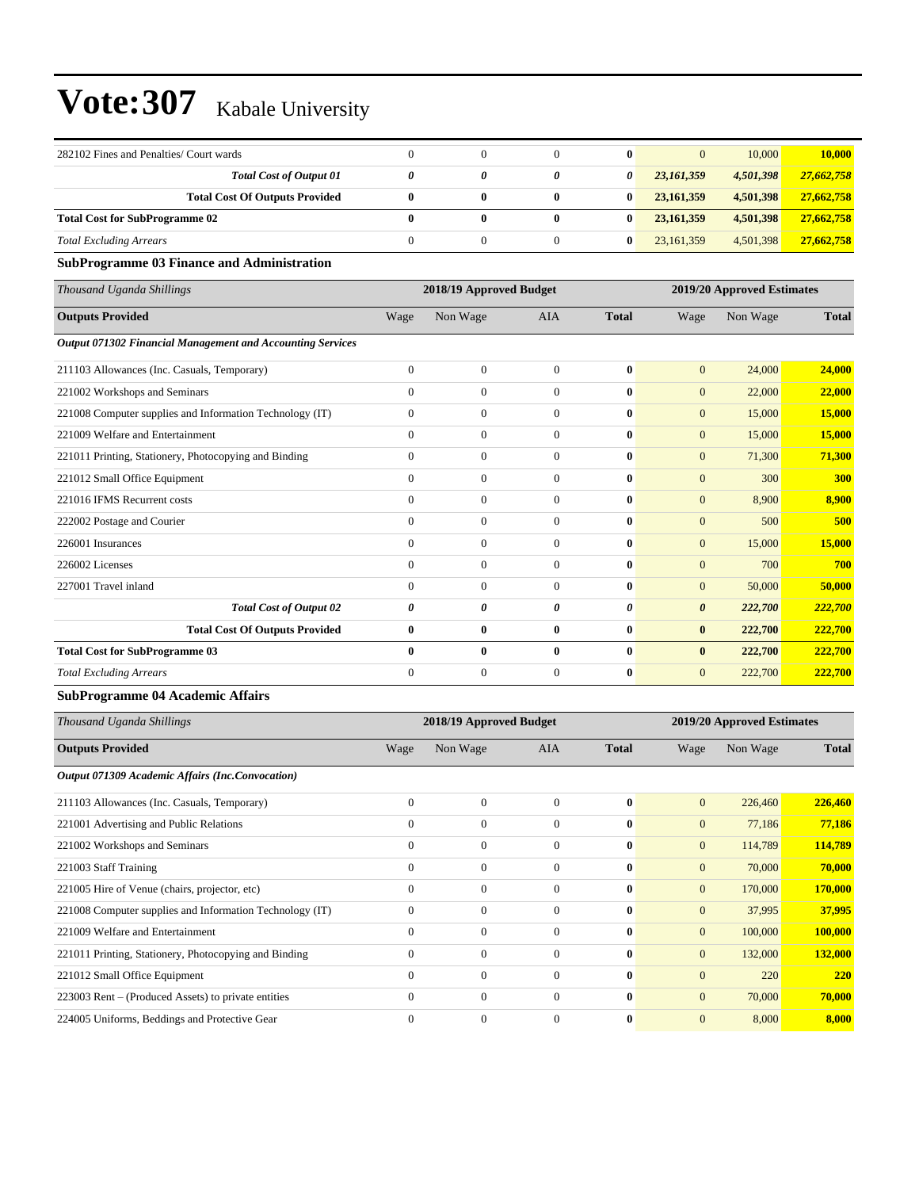| 282102 Fines and Penalties/ Court wards |   |   |   | 0 | $\mathbf{0}$ | 10,000    | 10,000     |
|-----------------------------------------|---|---|---|---|--------------|-----------|------------|
| <b>Total Cost of Output 01</b>          |   | 0 | 0 | 0 | 23,161,359   | 4,501,398 | 27,662,758 |
| <b>Total Cost Of Outputs Provided</b>   |   | 0 | 0 | 0 | 23, 161, 359 | 4.501.398 | 27,662,758 |
| <b>Total Cost for SubProgramme 02</b>   | 0 | 0 | 0 | 0 | 23.161.359   | 4,501,398 | 27,662,758 |
| <b>Total Excluding Arrears</b>          |   |   |   | 0 | 23.161.359   | 4,501,398 | 27,662,758 |

### **SubProgramme 03 Finance and Administration**

| Thousand Uganda Shillings                                  |                | 2018/19 Approved Budget |              |              | 2019/20 Approved Estimates |          |              |  |
|------------------------------------------------------------|----------------|-------------------------|--------------|--------------|----------------------------|----------|--------------|--|
| <b>Outputs Provided</b>                                    | Wage           | Non Wage                | <b>AIA</b>   | <b>Total</b> | Wage                       | Non Wage | <b>Total</b> |  |
| Output 071302 Financial Management and Accounting Services |                |                         |              |              |                            |          |              |  |
| 211103 Allowances (Inc. Casuals, Temporary)                | $\Omega$       | $\mathbf{0}$            | $\Omega$     | $\mathbf{0}$ | $\mathbf{0}$               | 24,000   | 24,000       |  |
| 221002 Workshops and Seminars                              | $\Omega$       | $\mathbf{0}$            | $\Omega$     | $\mathbf{0}$ | $\mathbf{0}$               | 22,000   | 22,000       |  |
| 221008 Computer supplies and Information Technology (IT)   | $\theta$       | $\mathbf{0}$            | $\Omega$     | $\mathbf{0}$ | $\mathbf{0}$               | 15,000   | 15,000       |  |
| 221009 Welfare and Entertainment                           | $\Omega$       | $\mathbf{0}$            | $\Omega$     | $\mathbf{0}$ | $\mathbf{0}$               | 15,000   | 15,000       |  |
| 221011 Printing, Stationery, Photocopying and Binding      | $\theta$       | $\mathbf{0}$            | $\Omega$     | $\mathbf{0}$ | $\mathbf{0}$               | 71,300   | 71,300       |  |
| 221012 Small Office Equipment                              | $\Omega$       | $\mathbf{0}$            | $\Omega$     | $\bf{0}$     | $\mathbf{0}$               | 300      | 300          |  |
| 221016 IFMS Recurrent costs                                | $\Omega$       | $\mathbf{0}$            | $\Omega$     | $\mathbf{0}$ | $\mathbf{0}$               | 8,900    | 8.900        |  |
| 222002 Postage and Courier                                 | $\Omega$       | $\mathbf{0}$            | $\Omega$     | $\mathbf{0}$ | $\mathbf{0}$               | 500      | 500          |  |
| 226001 Insurances                                          | $\Omega$       | $\mathbf{0}$            | $\mathbf{0}$ | $\mathbf{0}$ | $\mathbf{0}$               | 15,000   | 15,000       |  |
| 226002 Licenses                                            | $\overline{0}$ | $\mathbf{0}$            | $\mathbf{0}$ | $\bf{0}$     | $\mathbf{0}$               | 700      | 700          |  |
| 227001 Travel inland                                       | $\Omega$       | $\mathbf{0}$            | $\mathbf{0}$ | $\mathbf{0}$ | $\mathbf{0}$               | 50,000   | 50,000       |  |
| <b>Total Cost of Output 02</b>                             | 0              | 0                       | 0            | 0            | $\boldsymbol{\theta}$      | 222,700  | 222,700      |  |
| <b>Total Cost Of Outputs Provided</b>                      | $\bf{0}$       | $\bf{0}$                | $\bf{0}$     | $\mathbf{0}$ | $\bf{0}$                   | 222,700  | 222,700      |  |
| <b>Total Cost for SubProgramme 03</b>                      | $\mathbf{0}$   | $\bf{0}$                | $\bf{0}$     | $\mathbf{0}$ | $\bf{0}$                   | 222,700  | 222,700      |  |
| <b>Total Excluding Arrears</b>                             | $\Omega$       | $\mathbf{0}$            | $\Omega$     | $\bf{0}$     | $\mathbf{0}$               | 222,700  | 222,700      |  |

### **SubProgramme 04 Academic Affairs**

| Thousand Uganda Shillings                                |              | 2018/19 Approved Budget |              |              | 2019/20 Approved Estimates |          |              |  |
|----------------------------------------------------------|--------------|-------------------------|--------------|--------------|----------------------------|----------|--------------|--|
| <b>Outputs Provided</b>                                  | Wage         | Non Wage                | <b>AIA</b>   | <b>Total</b> | Wage                       | Non Wage | <b>Total</b> |  |
| Output 071309 Academic Affairs (Inc.Convocation)         |              |                         |              |              |                            |          |              |  |
| 211103 Allowances (Inc. Casuals, Temporary)              | $\mathbf{0}$ | $\mathbf{0}$            | $\theta$     | $\bf{0}$     | $\mathbf{0}$               | 226,460  | 226,460      |  |
| 221001 Advertising and Public Relations                  | $\mathbf{0}$ | $\mathbf{0}$            | $\Omega$     | $\mathbf{0}$ | $\mathbf{0}$               | 77,186   | 77,186       |  |
| 221002 Workshops and Seminars                            | $\mathbf{0}$ | $\mathbf{0}$            | $\Omega$     | $\mathbf{0}$ | $\mathbf{0}$               | 114,789  | 114,789      |  |
| 221003 Staff Training                                    | $\mathbf{0}$ | $\mathbf{0}$            | $\Omega$     | $\mathbf{0}$ | $\mathbf{0}$               | 70,000   | 70,000       |  |
| 221005 Hire of Venue (chairs, projector, etc)            | $\mathbf{0}$ | $\mathbf{0}$            | $\Omega$     | $\bf{0}$     | $\mathbf{0}$               | 170,000  | 170,000      |  |
| 221008 Computer supplies and Information Technology (IT) | $\mathbf{0}$ | $\mathbf{0}$            | $\mathbf{0}$ | $\bf{0}$     | $\mathbf{0}$               | 37,995   | 37,995       |  |
| 221009 Welfare and Entertainment                         | $\Omega$     | $\mathbf{0}$            | $\Omega$     | $\mathbf{0}$ | $\mathbf{0}$               | 100,000  | 100,000      |  |
| 221011 Printing, Stationery, Photocopying and Binding    | $\mathbf{0}$ | $\mathbf{0}$            | $\mathbf{0}$ | $\bf{0}$     | $\overline{0}$             | 132,000  | 132,000      |  |
| 221012 Small Office Equipment                            | $\Omega$     | $\mathbf{0}$            | $\Omega$     | $\mathbf{0}$ | $\mathbf{0}$               | 220      | <b>220</b>   |  |
| 223003 Rent – (Produced Assets) to private entities      | $\mathbf{0}$ | $\overline{0}$          | $\mathbf{0}$ | $\bf{0}$     | $\overline{0}$             | 70,000   | 70,000       |  |
| 224005 Uniforms, Beddings and Protective Gear            | $\Omega$     | $\mathbf{0}$            | $\Omega$     | $\bf{0}$     | $\overline{0}$             | 8,000    | 8,000        |  |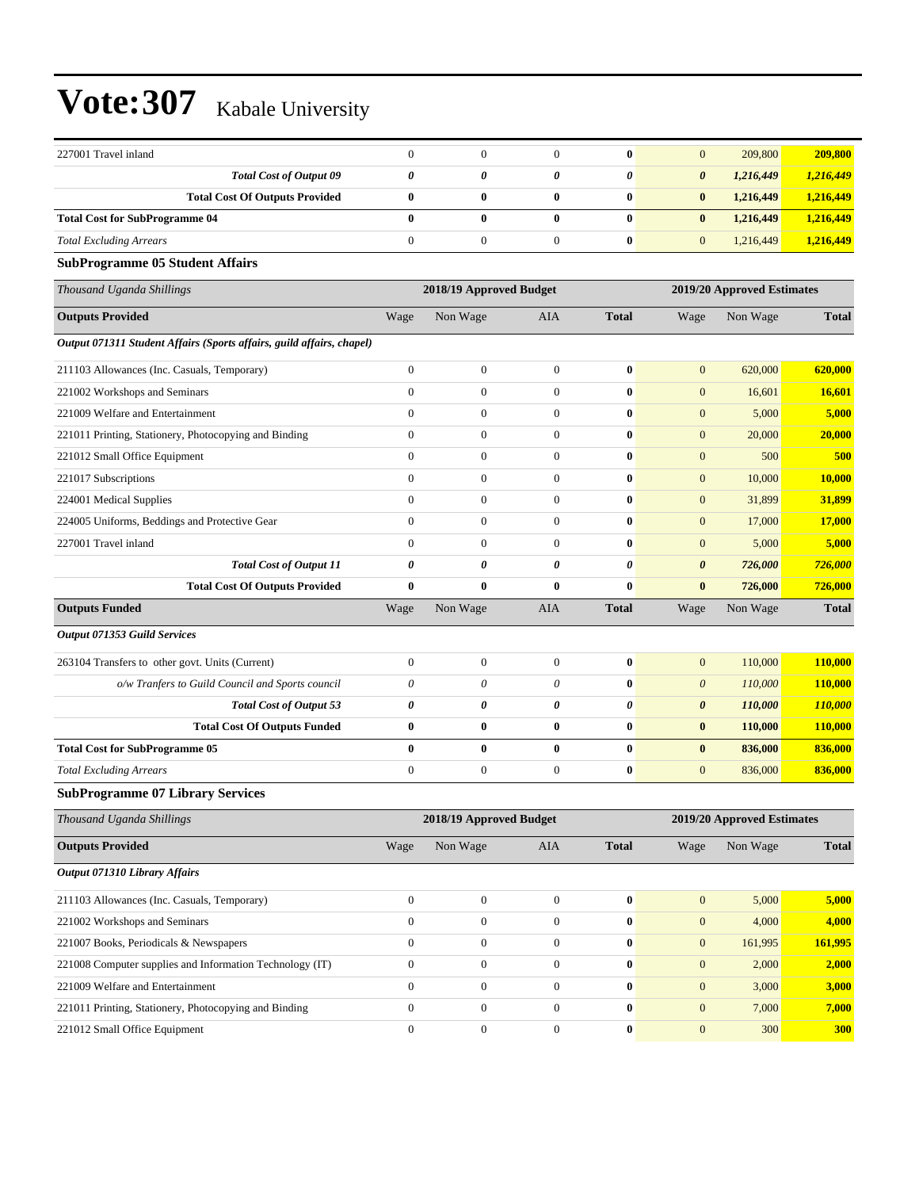| 227001 Travel inland                                                  | $\boldsymbol{0}$      | $\boldsymbol{0}$        | $\mathbf{0}$          | $\bf{0}$              | $\mathbf{0}$          | 209,800                    | 209,800        |
|-----------------------------------------------------------------------|-----------------------|-------------------------|-----------------------|-----------------------|-----------------------|----------------------------|----------------|
| <b>Total Cost of Output 09</b>                                        | $\boldsymbol{\theta}$ | 0                       | 0                     | 0                     | $\boldsymbol{\theta}$ | 1,216,449                  | 1,216,449      |
| <b>Total Cost Of Outputs Provided</b>                                 | $\bf{0}$              | 0                       | 0                     | $\bf{0}$              | $\bf{0}$              | 1,216,449                  | 1,216,449      |
| <b>Total Cost for SubProgramme 04</b>                                 | $\bf{0}$              | $\bf{0}$                | $\bf{0}$              | $\bf{0}$              | $\bf{0}$              | 1,216,449                  | 1,216,449      |
| <b>Total Excluding Arrears</b>                                        | $\mathbf{0}$          | $\boldsymbol{0}$        | $\boldsymbol{0}$      | $\bf{0}$              | $\mathbf{0}$          | 1,216,449                  | 1,216,449      |
| <b>SubProgramme 05 Student Affairs</b>                                |                       |                         |                       |                       |                       |                            |                |
| Thousand Uganda Shillings                                             |                       | 2018/19 Approved Budget |                       |                       |                       | 2019/20 Approved Estimates |                |
| <b>Outputs Provided</b>                                               | Wage                  | Non Wage                | AIA                   | <b>Total</b>          | Wage                  | Non Wage                   | <b>Total</b>   |
| Output 071311 Student Affairs (Sports affairs, guild affairs, chapel) |                       |                         |                       |                       |                       |                            |                |
| 211103 Allowances (Inc. Casuals, Temporary)                           | $\boldsymbol{0}$      | $\boldsymbol{0}$        | $\boldsymbol{0}$      | $\bf{0}$              | $\mathbf{0}$          | 620,000                    | 620,000        |
| 221002 Workshops and Seminars                                         | $\mathbf{0}$          | $\boldsymbol{0}$        | $\mathbf{0}$          | $\bf{0}$              | $\boldsymbol{0}$      | 16,601                     | 16,601         |
| 221009 Welfare and Entertainment                                      | $\mathbf{0}$          | $\boldsymbol{0}$        | $\mathbf{0}$          | $\bf{0}$              | $\boldsymbol{0}$      | 5,000                      | 5,000          |
| 221011 Printing, Stationery, Photocopying and Binding                 | $\mathbf{0}$          | $\boldsymbol{0}$        | $\overline{0}$        | $\bf{0}$              | $\boldsymbol{0}$      | 20,000                     | 20,000         |
| 221012 Small Office Equipment                                         | $\theta$              | $\boldsymbol{0}$        | $\overline{0}$        | $\bf{0}$              | $\mathbf{0}$          | 500                        | 500            |
| 221017 Subscriptions                                                  | $\mathbf{0}$          | $\boldsymbol{0}$        | $\mathbf{0}$          | $\bf{0}$              | $\boldsymbol{0}$      | 10,000                     | 10,000         |
| 224001 Medical Supplies                                               | $\mathbf{0}$          | $\boldsymbol{0}$        | $\mathbf{0}$          | $\bf{0}$              | $\boldsymbol{0}$      | 31,899                     | 31,899         |
| 224005 Uniforms, Beddings and Protective Gear                         | $\mathbf{0}$          | $\boldsymbol{0}$        | $\mathbf{0}$          | $\bf{0}$              | $\boldsymbol{0}$      | 17,000                     | 17,000         |
| 227001 Travel inland                                                  | $\mathbf{0}$          | $\overline{0}$          | $\overline{0}$        | $\bf{0}$              | $\boldsymbol{0}$      | 5,000                      | 5,000          |
| <b>Total Cost of Output 11</b>                                        | 0                     | 0                       | $\boldsymbol{\theta}$ | $\theta$              | $\boldsymbol{\theta}$ | 726,000                    | 726,000        |
| <b>Total Cost Of Outputs Provided</b>                                 | $\bf{0}$              | $\bf{0}$                | $\bf{0}$              | $\bf{0}$              | $\bf{0}$              | 726,000                    | 726,000        |
| <b>Outputs Funded</b>                                                 | Wage                  | Non Wage                | AIA                   | <b>Total</b>          | Wage                  | Non Wage                   | <b>Total</b>   |
| Output 071353 Guild Services                                          |                       |                         |                       |                       |                       |                            |                |
| 263104 Transfers to other govt. Units (Current)                       | $\mathbf{0}$          | $\boldsymbol{0}$        | $\mathbf{0}$          | $\bf{0}$              | $\mathbf{0}$          | 110,000                    | 110,000        |
| o/w Tranfers to Guild Council and Sports council                      | 0                     | 0                       | 0                     | $\bf{0}$              | $\boldsymbol{\theta}$ | 110,000                    | 110,000        |
| <b>Total Cost of Output 53</b>                                        | $\boldsymbol{\theta}$ | 0                       | 0                     | $\boldsymbol{\theta}$ | $\boldsymbol{\theta}$ | 110,000                    | <b>110,000</b> |
| <b>Total Cost Of Outputs Funded</b>                                   | $\bf{0}$              | $\bf{0}$                | 0                     | $\bf{0}$              | $\bf{0}$              | 110,000                    | 110,000        |
| <b>Total Cost for SubProgramme 05</b>                                 | $\bf{0}$              | 0                       | $\bf{0}$              | $\bf{0}$              | $\bf{0}$              | 836,000                    | 836,000        |
| <b>Total Excluding Arrears</b>                                        | $\boldsymbol{0}$      | $\boldsymbol{0}$        | $\mathbf{0}$          | $\bf{0}$              | $\boldsymbol{0}$      | 836,000                    | 836,000        |
| <b>SubProgramme 07 Library Services</b>                               |                       |                         |                       |                       |                       |                            |                |
| Thousand Uganda Shillings                                             |                       | 2018/19 Approved Budget |                       |                       |                       | 2019/20 Approved Estimates |                |
| <b>Outputs Provided</b>                                               | Wage                  | Non Wage                | AIA                   | <b>Total</b>          | Wage                  | Non Wage                   | <b>Total</b>   |
| Output 071310 Library Affairs                                         |                       |                         |                       |                       |                       |                            |                |
| 211103 Allowances (Inc. Casuals, Temporary)                           |                       |                         |                       |                       |                       |                            |                |
|                                                                       | $\boldsymbol{0}$      | $\boldsymbol{0}$        | $\mathbf{0}$          | $\bf{0}$              | $\mathbf{0}$          | 5,000                      | 5,000          |
| 221002 Workshops and Seminars                                         | $\mathbf{0}$          | $\boldsymbol{0}$        | $\mathbf{0}$          | $\pmb{0}$             | $\boldsymbol{0}$      | 4,000                      | 4,000          |
| 221007 Books, Periodicals & Newspapers                                | $\mathbf{0}$          | $\boldsymbol{0}$        | $\boldsymbol{0}$      | $\bf{0}$              | $\boldsymbol{0}$      | 161,995                    | 161,995        |
| 221008 Computer supplies and Information Technology (IT)              | $\mathbf{0}$          | $\boldsymbol{0}$        | $\mathbf{0}$          | $\boldsymbol{0}$      | $\mathbf{0}$          | 2,000                      | 2,000          |
| 221009 Welfare and Entertainment                                      | $\mathbf{0}$          | $\boldsymbol{0}$        | $\boldsymbol{0}$      | $\bf{0}$              | $\boldsymbol{0}$      | 3,000                      | 3,000          |
| 221011 Printing, Stationery, Photocopying and Binding                 | $\mathbf{0}$          | $\boldsymbol{0}$        | $\mathbf{0}$          | $\bf{0}$              | $\mathbf{0}$          | 7,000                      | 7,000          |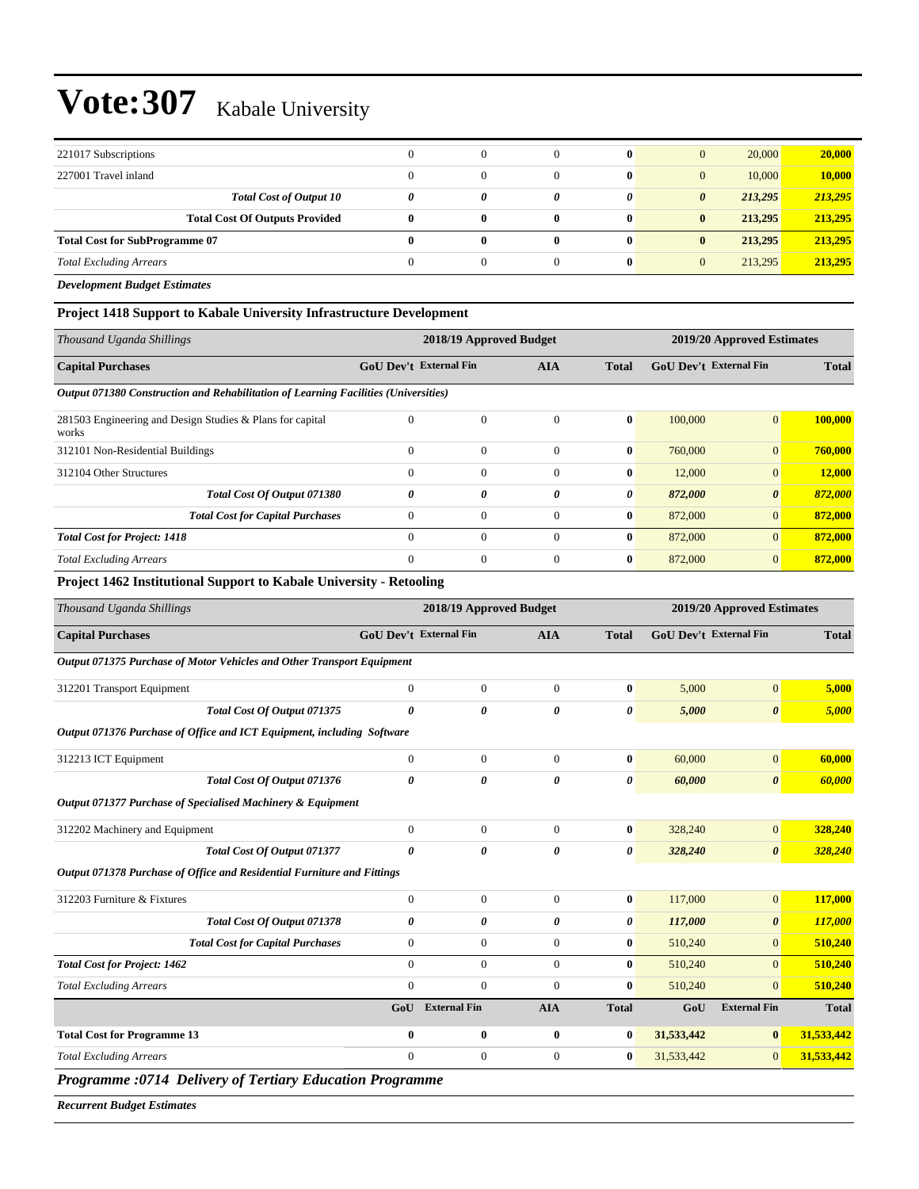| 221017 Subscriptions                  |   |   |              | $\mathbf{0}$ | $\overline{0}$        | 20,000  | 20,000  |
|---------------------------------------|---|---|--------------|--------------|-----------------------|---------|---------|
| 227001 Travel inland                  |   |   |              | $\mathbf{0}$ | $\mathbf{0}$          | 10,000  | 10,000  |
| <b>Total Cost of Output 10</b>        | 0 | 0 |              | 0            | $\boldsymbol{\theta}$ | 213,295 | 213,295 |
| <b>Total Cost Of Outputs Provided</b> | 0 | 0 | $\mathbf{0}$ | $\mathbf{0}$ | $\bf{0}$              | 213,295 | 213,295 |
| <b>Total Cost for SubProgramme 07</b> |   | 0 | 0            | $\mathbf{0}$ | $\bf{0}$              | 213,295 | 213,295 |
| <b>Total Excluding Arrears</b>        |   |   |              | $\mathbf{0}$ | $\mathbf{0}$          | 213,295 | 213,295 |

*Development Budget Estimates*

### **Project 1418 Support to Kabale University Infrastructure Development**

| Thousand Uganda Shillings                                                           |                                             | 2018/19 Approved Budget |              | 2019/20 Approved Estimates |                               |                       |         |
|-------------------------------------------------------------------------------------|---------------------------------------------|-------------------------|--------------|----------------------------|-------------------------------|-----------------------|---------|
| <b>Capital Purchases</b>                                                            | <b>GoU Dev't External Fin</b><br><b>AIA</b> |                         |              | <b>Total</b>               | <b>GoU Dev't External Fin</b> |                       |         |
| Output 071380 Construction and Rehabilitation of Learning Facilities (Universities) |                                             |                         |              |                            |                               |                       |         |
| 281503 Engineering and Design Studies & Plans for capital<br>works                  | $\mathbf{0}$                                | $\mathbf{0}$            | $\Omega$     | $\bf{0}$                   | 100,000                       | $\overline{0}$        | 100,000 |
| 312101 Non-Residential Buildings                                                    | $\Omega$                                    | $\mathbf{0}$            | $\Omega$     | $\bf{0}$                   | 760,000                       | $\overline{0}$        | 760,000 |
| 312104 Other Structures                                                             | $\Omega$                                    | $\Omega$                | $\Omega$     | $\bf{0}$                   | 12,000                        | $\overline{0}$        | 12,000  |
| Total Cost Of Output 071380                                                         | $\theta$                                    | 0                       | 0            | 0                          | 872,000                       | $\boldsymbol{\theta}$ | 872,000 |
| <b>Total Cost for Capital Purchases</b>                                             | $\Omega$                                    | $\mathbf{0}$            | $\Omega$     | $\bf{0}$                   | 872,000                       | $\overline{0}$        | 872,000 |
| <b>Total Cost for Project: 1418</b>                                                 | $\Omega$                                    | $\theta$                | $\Omega$     | $\mathbf{0}$               | 872,000                       | $\Omega$              | 872,000 |
| <b>Total Excluding Arrears</b>                                                      | $\Omega$                                    | $\mathbf{0}$            | $\mathbf{0}$ | $\bf{0}$                   | 872,000                       | $\overline{0}$        | 872,000 |

#### **Project 1462 Institutional Support to Kabale University - Retooling**

| Thousand Uganda Shillings                                               |                               | 2018/19 Approved Budget |                |                       | 2019/20 Approved Estimates |                               |              |  |
|-------------------------------------------------------------------------|-------------------------------|-------------------------|----------------|-----------------------|----------------------------|-------------------------------|--------------|--|
| <b>Capital Purchases</b>                                                | <b>GoU Dev't External Fin</b> |                         | <b>AIA</b>     | <b>Total</b>          |                            | <b>GoU Dev't External Fin</b> | <b>Total</b> |  |
| Output 071375 Purchase of Motor Vehicles and Other Transport Equipment  |                               |                         |                |                       |                            |                               |              |  |
| 312201 Transport Equipment                                              | $\overline{0}$                | $\mathbf{0}$            | $\overline{0}$ | $\bf{0}$              | 5,000                      | $\overline{0}$                | 5,000        |  |
| Total Cost Of Output 071375                                             | 0                             | 0                       | 0              | $\boldsymbol{\theta}$ | 5,000                      | $\boldsymbol{\theta}$         | 5,000        |  |
| Output 071376 Purchase of Office and ICT Equipment, including Software  |                               |                         |                |                       |                            |                               |              |  |
| 312213 ICT Equipment                                                    | $\boldsymbol{0}$              | $\boldsymbol{0}$        | $\mathbf{0}$   | $\bf{0}$              | 60,000                     | $\overline{0}$                | 60,000       |  |
| <b>Total Cost Of Output 071376</b>                                      | 0                             | 0                       | 0              | 0                     | 60,000                     | $\boldsymbol{\theta}$         | 60,000       |  |
| Output 071377 Purchase of Specialised Machinery & Equipment             |                               |                         |                |                       |                            |                               |              |  |
| 312202 Machinery and Equipment                                          | $\overline{0}$                | $\boldsymbol{0}$        | $\overline{0}$ | $\bf{0}$              | 328,240                    | $\overline{0}$                | 328,240      |  |
| <b>Total Cost Of Output 071377</b>                                      | 0                             | 0                       | 0              | 0                     | 328,240                    | $\boldsymbol{\theta}$         | 328,240      |  |
| Output 071378 Purchase of Office and Residential Furniture and Fittings |                               |                         |                |                       |                            |                               |              |  |
| 312203 Furniture & Fixtures                                             | $\overline{0}$                | $\mathbf{0}$            | $\overline{0}$ | $\bf{0}$              | 117,000                    | $\overline{0}$                | 117,000      |  |
| Total Cost Of Output 071378                                             | 0                             | 0                       | 0              | 0                     | 117,000                    | $\boldsymbol{\theta}$         | 117,000      |  |
| <b>Total Cost for Capital Purchases</b>                                 | $\overline{0}$                | $\mathbf{0}$            | $\Omega$       | $\mathbf{0}$          | 510,240                    | $\overline{0}$                | 510,240      |  |
| <b>Total Cost for Project: 1462</b>                                     | $\overline{0}$                | $\mathbf{0}$            | $\overline{0}$ | $\bf{0}$              | 510,240                    | $\overline{0}$                | 510,240      |  |
| <b>Total Excluding Arrears</b>                                          | $\mathbf{0}$                  | $\boldsymbol{0}$        | $\overline{0}$ | $\bf{0}$              | 510,240                    | $\overline{0}$                | 510,240      |  |
|                                                                         | GoU                           | <b>External Fin</b>     | <b>AIA</b>     | <b>Total</b>          | GoU                        | <b>External Fin</b>           | <b>Total</b> |  |
| <b>Total Cost for Programme 13</b>                                      | $\bf{0}$                      | $\bf{0}$                | $\bf{0}$       | $\bf{0}$              | 31,533,442                 | $\bf{0}$                      | 31,533,442   |  |
| <b>Total Excluding Arrears</b>                                          | $\overline{0}$                | $\boldsymbol{0}$        | $\overline{0}$ | $\bf{0}$              | 31,533,442                 | $\overline{0}$                | 31,533,442   |  |

*Programme :0714 Delivery of Tertiary Education Programme*

*Recurrent Budget Estimates*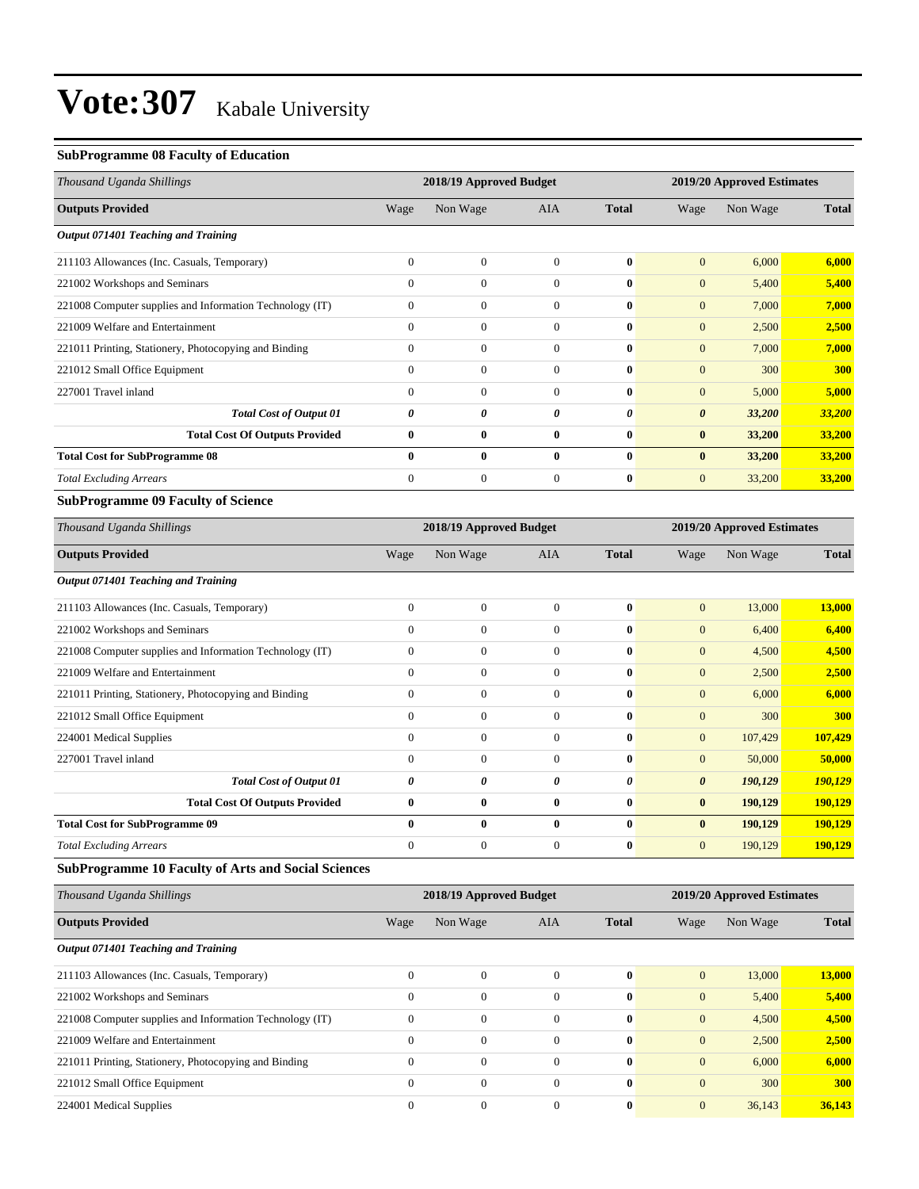### **SubProgramme 08 Faculty of Education**

| Thousand Uganda Shillings                                  |                  | 2018/19 Approved Budget |                  |              | 2019/20 Approved Estimates |                            |              |
|------------------------------------------------------------|------------------|-------------------------|------------------|--------------|----------------------------|----------------------------|--------------|
| <b>Outputs Provided</b>                                    | Wage             | Non Wage                | AIA              | <b>Total</b> | Wage                       | Non Wage                   | <b>Total</b> |
| Output 071401 Teaching and Training                        |                  |                         |                  |              |                            |                            |              |
| 211103 Allowances (Inc. Casuals, Temporary)                | $\boldsymbol{0}$ | $\boldsymbol{0}$        | $\boldsymbol{0}$ | $\bf{0}$     | $\mathbf{0}$               | 6,000                      | 6,000        |
| 221002 Workshops and Seminars                              | $\mathbf{0}$     | $\mathbf{0}$            | $\overline{0}$   | $\bf{0}$     | $\mathbf{0}$               | 5,400                      | 5,400        |
| 221008 Computer supplies and Information Technology (IT)   | $\boldsymbol{0}$ | $\boldsymbol{0}$        | $\boldsymbol{0}$ | $\bf{0}$     | $\mathbf{0}$               | 7,000                      | 7,000        |
| 221009 Welfare and Entertainment                           | $\mathbf{0}$     | $\boldsymbol{0}$        | $\boldsymbol{0}$ | $\bf{0}$     | $\mathbf{0}$               | 2,500                      | 2,500        |
| 221011 Printing, Stationery, Photocopying and Binding      | $\boldsymbol{0}$ | $\boldsymbol{0}$        | $\boldsymbol{0}$ | $\bf{0}$     | $\mathbf{0}$               | 7,000                      | 7,000        |
| 221012 Small Office Equipment                              | $\mathbf{0}$     | $\mathbf{0}$            | $\mathbf{0}$     | $\bf{0}$     | $\mathbf{0}$               | 300                        | 300          |
| 227001 Travel inland                                       | $\mathbf{0}$     | $\mathbf{0}$            | $\mathbf{0}$     | $\bf{0}$     | $\mathbf{0}$               | 5,000                      | 5,000        |
| <b>Total Cost of Output 01</b>                             | 0                | 0                       | 0                | 0            | $\boldsymbol{\theta}$      | 33,200                     | 33,200       |
| <b>Total Cost Of Outputs Provided</b>                      | $\bf{0}$         | $\bf{0}$                | $\bf{0}$         | $\bf{0}$     | $\bf{0}$                   | 33,200                     | 33,200       |
| <b>Total Cost for SubProgramme 08</b>                      | $\bf{0}$         | $\bf{0}$                | $\bf{0}$         | $\bf{0}$     | $\bf{0}$                   | 33,200                     | 33,200       |
| <b>Total Excluding Arrears</b>                             | $\boldsymbol{0}$ | $\boldsymbol{0}$        | $\mathbf{0}$     | $\bf{0}$     | $\mathbf{0}$               | 33,200                     | 33,200       |
| <b>SubProgramme 09 Faculty of Science</b>                  |                  |                         |                  |              |                            |                            |              |
| Thousand Uganda Shillings                                  |                  | 2018/19 Approved Budget |                  |              |                            | 2019/20 Approved Estimates |              |
| <b>Outputs Provided</b>                                    | Wage             | Non Wage                | AIA              | <b>Total</b> | Wage                       | Non Wage                   | <b>Total</b> |
| Output 071401 Teaching and Training                        |                  |                         |                  |              |                            |                            |              |
| 211103 Allowances (Inc. Casuals, Temporary)                | $\boldsymbol{0}$ | $\boldsymbol{0}$        | $\boldsymbol{0}$ | $\bf{0}$     | $\mathbf{0}$               | 13,000                     | 13,000       |
| 221002 Workshops and Seminars                              | $\mathbf{0}$     | $\boldsymbol{0}$        | $\boldsymbol{0}$ | $\bf{0}$     | $\mathbf{0}$               | 6,400                      | 6,400        |
| 221008 Computer supplies and Information Technology (IT)   | $\boldsymbol{0}$ | $\boldsymbol{0}$        | $\boldsymbol{0}$ | $\bf{0}$     | $\mathbf{0}$               | 4,500                      | 4,500        |
| 221009 Welfare and Entertainment                           | $\boldsymbol{0}$ | $\boldsymbol{0}$        | $\boldsymbol{0}$ | $\bf{0}$     | $\mathbf{0}$               | 2,500                      | 2,500        |
| 221011 Printing, Stationery, Photocopying and Binding      | $\mathbf{0}$     | $\mathbf{0}$            | $\mathbf{0}$     | $\bf{0}$     | $\mathbf{0}$               | 6,000                      | 6,000        |
| 221012 Small Office Equipment                              | $\mathbf{0}$     | $\mathbf{0}$            | $\mathbf{0}$     | $\bf{0}$     | $\mathbf{0}$               | 300                        | 300          |
| 224001 Medical Supplies                                    | $\boldsymbol{0}$ | $\boldsymbol{0}$        | $\boldsymbol{0}$ | $\bf{0}$     | $\boldsymbol{0}$           | 107,429                    | 107,429      |
| 227001 Travel inland                                       | $\boldsymbol{0}$ | $\boldsymbol{0}$        | $\boldsymbol{0}$ | $\bf{0}$     | $\mathbf{0}$               | 50,000                     | 50,000       |
| <b>Total Cost of Output 01</b>                             | 0                | 0                       | 0                | 0            | 0                          | 190,129                    | 190,129      |
| <b>Total Cost Of Outputs Provided</b>                      | $\bf{0}$         | $\bf{0}$                | $\bf{0}$         | $\bf{0}$     | $\bf{0}$                   | 190,129                    | 190,129      |
| <b>Total Cost for SubProgramme 09</b>                      | $\bf{0}$         | $\bf{0}$                | $\bf{0}$         | $\bf{0}$     | $\bf{0}$                   | 190,129                    | 190,129      |
| <b>Total Excluding Arrears</b>                             | $\boldsymbol{0}$ | $\boldsymbol{0}$        | $\boldsymbol{0}$ | $\bf{0}$     | $\boldsymbol{0}$           | 190,129                    | 190,129      |
| <b>SubProgramme 10 Faculty of Arts and Social Sciences</b> |                  |                         |                  |              |                            |                            |              |
| Thousand Uganda Shillings                                  |                  | 2018/19 Approved Budget |                  |              |                            | 2019/20 Approved Estimates |              |
| <b>Outputs Provided</b>                                    | Wage             | Non Wage                | AIA              | <b>Total</b> | Wage                       | Non Wage                   | <b>Total</b> |
| Output 071401 Teaching and Training                        |                  |                         |                  |              |                            |                            |              |
| 211103 Allowances (Inc. Casuals, Temporary)                | $\boldsymbol{0}$ | $\boldsymbol{0}$        | $\boldsymbol{0}$ | $\bf{0}$     | $\boldsymbol{0}$           | 13,000                     | 13,000       |
| 221002 Workshops and Seminars                              | $\boldsymbol{0}$ | $\mathbf{0}$            | $\mathbf{0}$     | $\bf{0}$     | $\mathbf{0}$               | 5,400                      | 5,400        |
| 221008 Computer supplies and Information Technology (IT)   | $\boldsymbol{0}$ | $\boldsymbol{0}$        | $\mathbf{0}$     | $\bf{0}$     | $\mathbf{0}$               | 4,500                      | 4,500        |
| 221009 Welfare and Entertainment                           | $\boldsymbol{0}$ | $\boldsymbol{0}$        | $\mathbf{0}$     | $\bf{0}$     | $\mathbf{0}$               | 2,500                      | 2,500        |
| 221011 Printing, Stationery, Photocopying and Binding      | $\boldsymbol{0}$ | $\boldsymbol{0}$        | $\mathbf{0}$     | $\bf{0}$     | $\mathbf{0}$               | 6,000                      | 6,000        |
| 221012 Small Office Equipment                              | $\boldsymbol{0}$ | $\overline{0}$          | $\boldsymbol{0}$ | $\bf{0}$     | $\mathbf{0}$               | 300                        | <b>300</b>   |

224001 Medical Supplies 0 0 0 **0** 0 36,143 **36,143**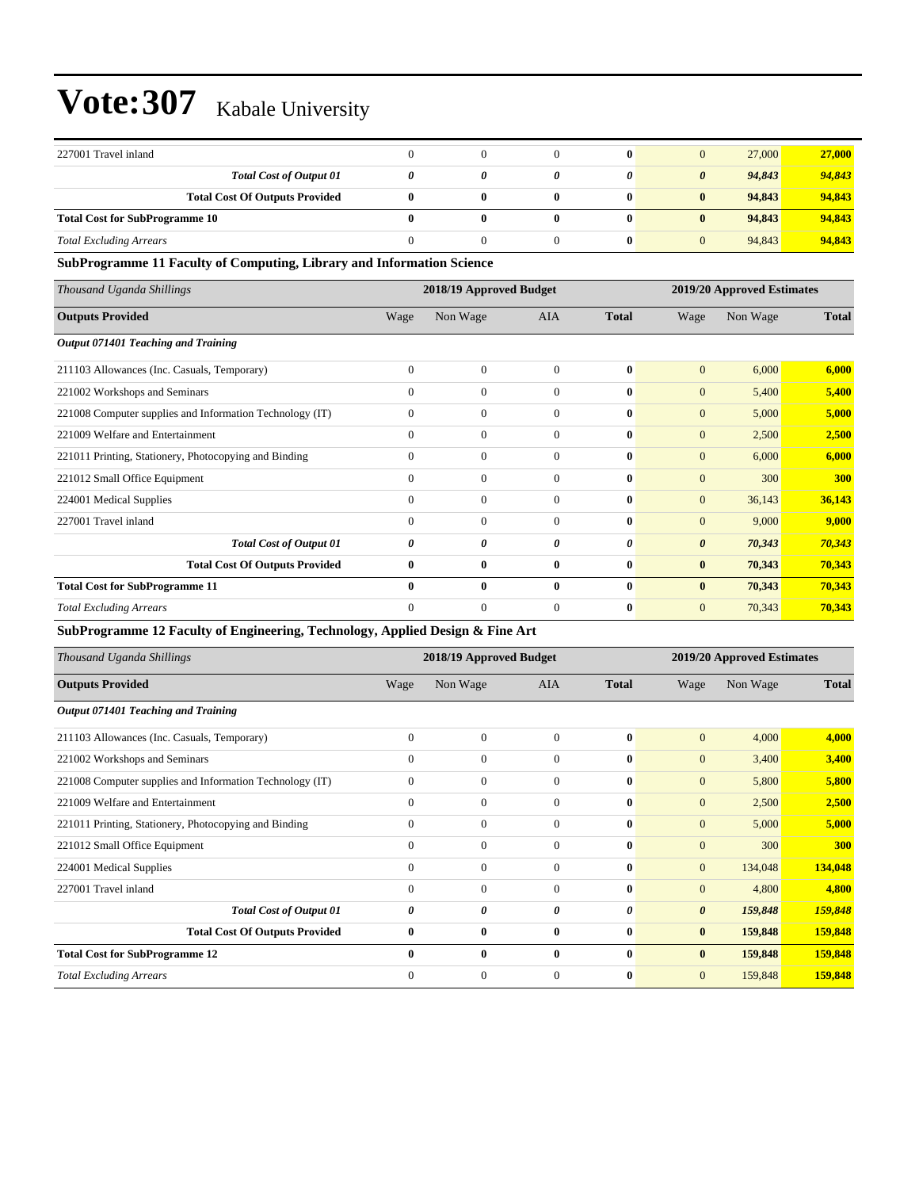| 227001 Travel inland                  |   |   | 0            | 0                     | 27,000 | 27,000 |
|---------------------------------------|---|---|--------------|-----------------------|--------|--------|
| <b>Total Cost of Output 01</b>        |   |   |              | $\boldsymbol{\theta}$ | 94,843 | 94,843 |
| <b>Total Cost Of Outputs Provided</b> | 0 | 0 | $\bf{0}$     | $\bf{0}$              | 94,843 | 94,843 |
| <b>Total Cost for SubProgramme 10</b> | 0 | 0 | $\bf{0}$     | $\bf{0}$              | 94,843 | 94,843 |
| <b>Total Excluding Arrears</b>        |   |   | $\mathbf{0}$ | $\overline{0}$        | 94,843 | 94,843 |

### **SubProgramme 11 Faculty of Computing, Library and Information Science**

| Thousand Uganda Shillings                                | 2018/19 Approved Budget |                  |              |              | 2019/20 Approved Estimates |          |              |  |
|----------------------------------------------------------|-------------------------|------------------|--------------|--------------|----------------------------|----------|--------------|--|
| <b>Outputs Provided</b>                                  | Wage                    | Non Wage         | <b>AIA</b>   | <b>Total</b> | Wage                       | Non Wage | <b>Total</b> |  |
| Output 071401 Teaching and Training                      |                         |                  |              |              |                            |          |              |  |
| 211103 Allowances (Inc. Casuals, Temporary)              | $\overline{0}$          | $\mathbf{0}$     | $\Omega$     | $\mathbf{0}$ | $\mathbf{0}$               | 6,000    | 6,000        |  |
| 221002 Workshops and Seminars                            | $\mathbf{0}$            | $\overline{0}$   | $\Omega$     | $\mathbf{0}$ | $\overline{0}$             | 5,400    | 5,400        |  |
| 221008 Computer supplies and Information Technology (IT) | $\mathbf{0}$            | $\mathbf{0}$     | $\mathbf{0}$ | $\bf{0}$     | $\mathbf{0}$               | 5,000    | 5,000        |  |
| 221009 Welfare and Entertainment                         | $\Omega$                | $\mathbf{0}$     | $\Omega$     | $\mathbf{0}$ | $\overline{0}$             | 2,500    | 2,500        |  |
| 221011 Printing, Stationery, Photocopying and Binding    | $\mathbf{0}$            | $\boldsymbol{0}$ | $\mathbf{0}$ | $\bf{0}$     | $\mathbf{0}$               | 6,000    | 6,000        |  |
| 221012 Small Office Equipment                            | $\Omega$                | $\mathbf{0}$     | $\Omega$     | $\mathbf{0}$ | $\overline{0}$             | 300      | 300          |  |
| 224001 Medical Supplies                                  | $\mathbf{0}$            | $\overline{0}$   | $\mathbf{0}$ | $\bf{0}$     | $\mathbf{0}$               | 36,143   | 36,143       |  |
| 227001 Travel inland                                     | $\Omega$                | $\mathbf{0}$     | $\Omega$     | $\mathbf{0}$ | $\overline{0}$             | 9,000    | 9,000        |  |
| <b>Total Cost of Output 01</b>                           | 0                       | 0                | 0            | 0            | $\boldsymbol{\theta}$      | 70,343   | 70,343       |  |
| <b>Total Cost Of Outputs Provided</b>                    | $\mathbf{0}$            | $\bf{0}$         | $\mathbf{0}$ | $\mathbf{0}$ | $\mathbf{0}$               | 70,343   | 70,343       |  |
| <b>Total Cost for SubProgramme 11</b>                    | $\mathbf{0}$            | $\bf{0}$         | $\mathbf{0}$ | $\mathbf{0}$ | $\mathbf{0}$               | 70,343   | 70,343       |  |
| <b>Total Excluding Arrears</b>                           | $\mathbf{0}$            | $\mathbf{0}$     | $\mathbf{0}$ | $\bf{0}$     | $\mathbf{0}$               | 70,343   | 70,343       |  |

**SubProgramme 12 Faculty of Engineering, Technology, Applied Design & Fine Art**

| Thousand Uganda Shillings                                | 2018/19 Approved Budget |                |              |              | 2019/20 Approved Estimates |          |              |  |
|----------------------------------------------------------|-------------------------|----------------|--------------|--------------|----------------------------|----------|--------------|--|
| <b>Outputs Provided</b>                                  | Wage                    | Non Wage       | <b>AIA</b>   | <b>Total</b> | Wage                       | Non Wage | <b>Total</b> |  |
| Output 071401 Teaching and Training                      |                         |                |              |              |                            |          |              |  |
| 211103 Allowances (Inc. Casuals, Temporary)              | $\Omega$                | $\mathbf{0}$   | $\Omega$     | $\mathbf{0}$ | $\mathbf{0}$               | 4,000    | 4,000        |  |
| 221002 Workshops and Seminars                            | $\Omega$                | $\mathbf{0}$   | $\Omega$     | $\mathbf{0}$ | $\mathbf{0}$               | 3,400    | 3,400        |  |
| 221008 Computer supplies and Information Technology (IT) | $\mathbf{0}$            | $\mathbf{0}$   | $\Omega$     | $\mathbf{0}$ | $\mathbf{0}$               | 5,800    | 5,800        |  |
| 221009 Welfare and Entertainment                         | $\Omega$                | $\mathbf{0}$   | $\Omega$     | $\bf{0}$     | $\mathbf{0}$               | 2,500    | 2,500        |  |
| 221011 Printing, Stationery, Photocopying and Binding    | $\Omega$                | $\mathbf{0}$   | $\Omega$     | $\mathbf{0}$ | $\mathbf{0}$               | 5,000    | 5,000        |  |
| 221012 Small Office Equipment                            | $\Omega$                | $\mathbf{0}$   | $\Omega$     | $\mathbf{0}$ | $\overline{0}$             | 300      | 300          |  |
| 224001 Medical Supplies                                  | $\Omega$                | $\overline{0}$ | $\Omega$     | $\mathbf{0}$ | $\overline{0}$             | 134,048  | 134,048      |  |
| 227001 Travel inland                                     | $\Omega$                | $\mathbf{0}$   | $\Omega$     | $\mathbf{0}$ | $\mathbf{0}$               | 4,800    | 4,800        |  |
| <b>Total Cost of Output 01</b>                           | $\theta$                | 0              | 0            | 0            | $\boldsymbol{\theta}$      | 159,848  | 159,848      |  |
| <b>Total Cost Of Outputs Provided</b>                    | $\bf{0}$                | $\bf{0}$       | $\bf{0}$     | $\bf{0}$     | $\mathbf{0}$               | 159,848  | 159,848      |  |
| <b>Total Cost for SubProgramme 12</b>                    | $\mathbf{0}$            | $\bf{0}$       | $\mathbf{0}$ | $\mathbf{0}$ | $\mathbf{0}$               | 159,848  | 159,848      |  |
| <b>Total Excluding Arrears</b>                           | $\Omega$                | $\mathbf{0}$   | $\Omega$     | $\mathbf{0}$ | $\mathbf{0}$               | 159,848  | 159,848      |  |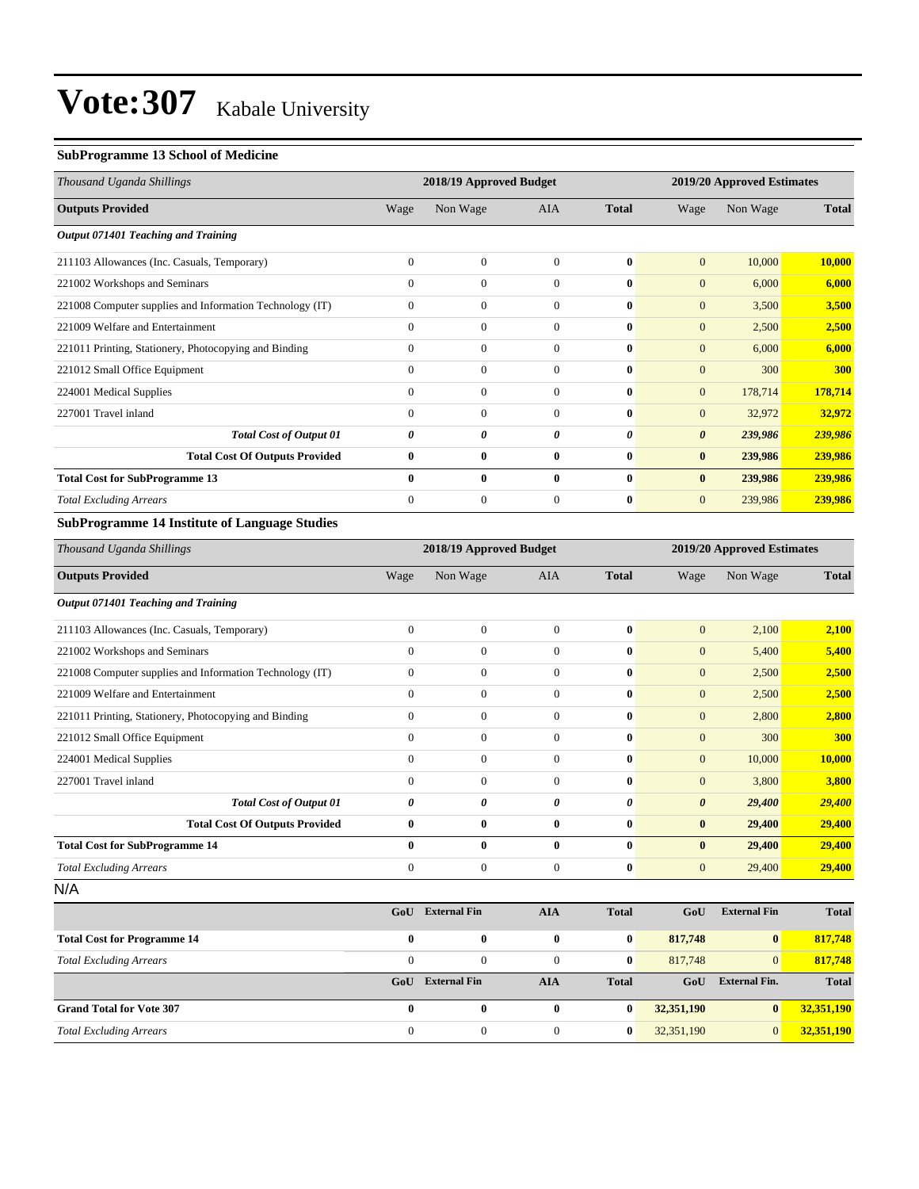#### **SubProgramme 13 School of Medicine**

| Thousand Uganda Shillings                                | 2018/19 Approved Budget |                  |                  |              | 2019/20 Approved Estimates |          |              |
|----------------------------------------------------------|-------------------------|------------------|------------------|--------------|----------------------------|----------|--------------|
| <b>Outputs Provided</b>                                  | Wage                    | Non Wage         | AIA              | <b>Total</b> | Wage                       | Non Wage | <b>Total</b> |
| Output 071401 Teaching and Training                      |                         |                  |                  |              |                            |          |              |
| 211103 Allowances (Inc. Casuals, Temporary)              | $\mathbf{0}$            | $\boldsymbol{0}$ | $\boldsymbol{0}$ | $\bf{0}$     | $\mathbf{0}$               | 10,000   | 10,000       |
| 221002 Workshops and Seminars                            | $\overline{0}$          | $\overline{0}$   | $\overline{0}$   | $\bf{0}$     | $\overline{0}$             | 6,000    | 6,000        |
| 221008 Computer supplies and Information Technology (IT) | $\overline{0}$          | $\boldsymbol{0}$ | $\mathbf{0}$     | $\bf{0}$     | $\mathbf{0}$               | 3,500    | 3,500        |
| 221009 Welfare and Entertainment                         | $\mathbf{0}$            | $\boldsymbol{0}$ | $\boldsymbol{0}$ | $\bf{0}$     | $\mathbf{0}$               | 2,500    | 2,500        |
| 221011 Printing, Stationery, Photocopying and Binding    | $\mathbf{0}$            | $\overline{0}$   | $\overline{0}$   | $\bf{0}$     | $\mathbf{0}$               | 6,000    | 6,000        |
| 221012 Small Office Equipment                            | $\mathbf{0}$            | $\overline{0}$   | $\mathbf{0}$     | $\bf{0}$     | $\mathbf{0}$               | 300      | 300          |
| 224001 Medical Supplies                                  | $\mathbf{0}$            | $\overline{0}$   | $\overline{0}$   | $\bf{0}$     | $\mathbf{0}$               | 178,714  | 178,714      |
| 227001 Travel inland                                     | $\mathbf{0}$            | $\Omega$         | $\overline{0}$   | $\bf{0}$     | $\overline{0}$             | 32,972   | 32,972       |
| <b>Total Cost of Output 01</b>                           | $\boldsymbol{\theta}$   | 0                | 0                | 0            | $\boldsymbol{\theta}$      | 239,986  | 239,986      |
| <b>Total Cost Of Outputs Provided</b>                    | $\bf{0}$                | $\bf{0}$         | $\bf{0}$         | $\bf{0}$     | $\bf{0}$                   | 239,986  | 239,986      |
| <b>Total Cost for SubProgramme 13</b>                    | $\bf{0}$                | $\bf{0}$         | $\bf{0}$         | $\bf{0}$     | $\bf{0}$                   | 239,986  | 239,986      |
| <b>Total Excluding Arrears</b>                           | $\Omega$                | $\overline{0}$   | $\mathbf{0}$     | $\bf{0}$     | $\overline{0}$             | 239,986  | 239,986      |
| <b>SubProgramme 14 Institute of Language Studies</b>     |                         |                  |                  |              |                            |          |              |
| Thousand Uganda Shillings                                | 2018/19 Approved Budget |                  |                  |              | 2019/20 Approved Estimates |          |              |
| <b>Outputs Provided</b>                                  | Wage                    | Non Wage         | AIA              | <b>Total</b> | Wage                       | Non Wage | <b>Total</b> |
| Output 071401 Teaching and Training                      |                         |                  |                  |              |                            |          |              |
| 211103 Allowances (Inc. Casuals, Temporary)              | $\boldsymbol{0}$        | $\boldsymbol{0}$ | $\boldsymbol{0}$ | $\bf{0}$     | $\overline{0}$             | 2,100    | 2,100        |
| 221002 Workshops and Seminars                            | $\mathbf{0}$            | $\overline{0}$   | $\overline{0}$   | $\bf{0}$     | $\overline{0}$             | 5,400    | 5,400        |
| 221008 Computer supplies and Information Technology (IT) | $\mathbf{0}$            | $\overline{0}$   | $\overline{0}$   | $\bf{0}$     | $\overline{0}$             | 2,500    | 2,500        |
| 221009 Welfare and Entertainment                         | $\overline{0}$          | $\boldsymbol{0}$ | $\boldsymbol{0}$ | $\bf{0}$     | $\mathbf{0}$               | 2,500    | 2,500        |
| 221011 Printing, Stationery, Photocopying and Binding    | $\mathbf{0}$            | $\boldsymbol{0}$ | $\boldsymbol{0}$ | $\bf{0}$     | $\mathbf{0}$               | 2,800    | 2,800        |
| 221012 Small Office Equipment                            | $\mathbf{0}$            | $\overline{0}$   | $\overline{0}$   | $\bf{0}$     | $\mathbf{0}$               | 300      | 300          |
| 224001 Medical Supplies                                  | $\mathbf{0}$            | $\overline{0}$   | $\mathbf{0}$     | $\bf{0}$     | $\mathbf{0}$               | 10,000   | 10,000       |
| 227001 Travel inland                                     | $\mathbf{0}$            | $\overline{0}$   | $\overline{0}$   | $\bf{0}$     | $\mathbf{0}$               | 3,800    | 3,800        |
| <b>Total Cost of Output 01</b>                           | $\boldsymbol{\theta}$   | 0                | 0                | $\theta$     | $\boldsymbol{\theta}$      | 29,400   | 29,400       |
| <b>Total Cost Of Outputs Provided</b>                    | $\bf{0}$                | $\bf{0}$         | $\bf{0}$         | $\bf{0}$     | $\bf{0}$                   | 29,400   | 29,400       |
| <b>Total Cost for SubProgramme 14</b>                    | $\mathbf{0}$            | $\bf{0}$         | $\bf{0}$         | $\mathbf{0}$ | $\bf{0}$                   | 29,400   | 29,400       |

| N/A                                |              |                     |              |              |            |                      |              |
|------------------------------------|--------------|---------------------|--------------|--------------|------------|----------------------|--------------|
|                                    | GoU          | <b>External Fin</b> | <b>AIA</b>   | <b>Total</b> | GoU        | <b>External Fin</b>  | <b>Total</b> |
| <b>Total Cost for Programme 14</b> | $\bf{0}$     | $\bf{0}$            | $\mathbf{0}$ | $\bf{0}$     | 817,748    | $\bf{0}$             | 817,748      |
| <b>Total Excluding Arrears</b>     | $\Omega$     | $\theta$            | $\mathbf{0}$ | $\mathbf{0}$ | 817,748    | $\overline{0}$       | 817,748      |
|                                    | GoU          | <b>External Fin</b> | <b>AIA</b>   | <b>Total</b> | GoU        | <b>External Fin.</b> | <b>Total</b> |
| <b>Grand Total for Vote 307</b>    | $\mathbf{0}$ | $\bf{0}$            | 0            | $\bf{0}$     | 32,351,190 | $\bf{0}$             | 32,351,190   |
| <b>Total Excluding Arrears</b>     | $\Omega$     | $\theta$            | 0            | $\bf{0}$     | 32,351,190 | $\overline{0}$       | 32,351,190   |

**Total Excluding Arrears 0** 0 0 0 0 29,400 **29,400 29,400**